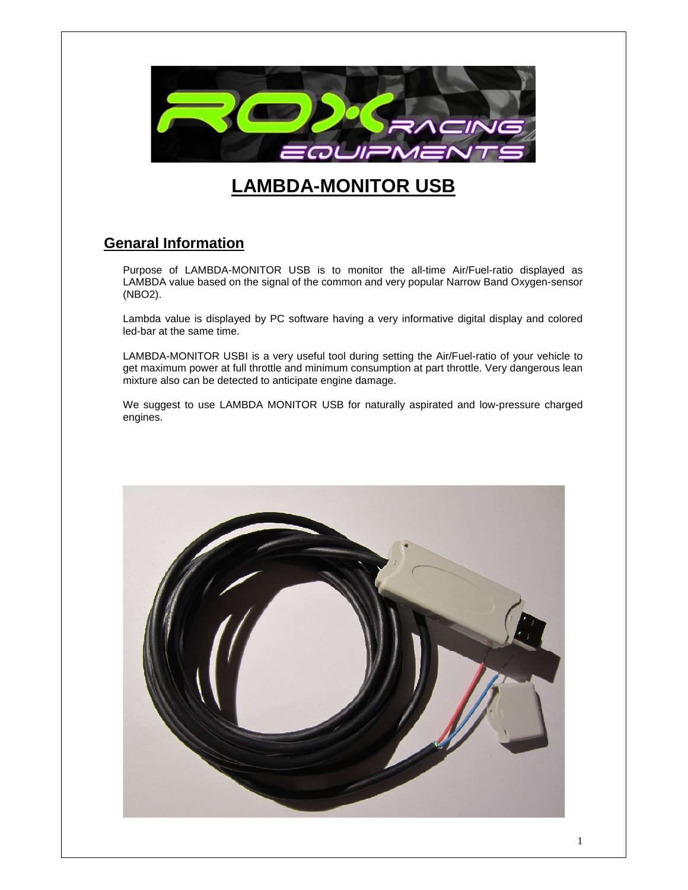

# **LAMBDA-MONITOR USB**

# **Genaral Information**

Purpose of LAMBDA-MONITOR USB is to monitor the all-time Air/Fuel-ratio displayed as LAMBDA value based on the signal of the common and very popular Narrow Band Oxygen-sensor (NBO2).

Lambda value is displayed by PC software having a very informative digital display and colored led-bar at the same time.

LAMBDA-MONITOR USBI is a very useful tool during setting the Air/Fuel-ratio of your vehicle to get maximum power at full throttle and minimum consumption at part throttle. Very dangerous lean mixture also can be detected to anticipate engine damage.

We suggest to use LAMBDA MONITOR USB for naturally aspirated and low-pressure charged engines.

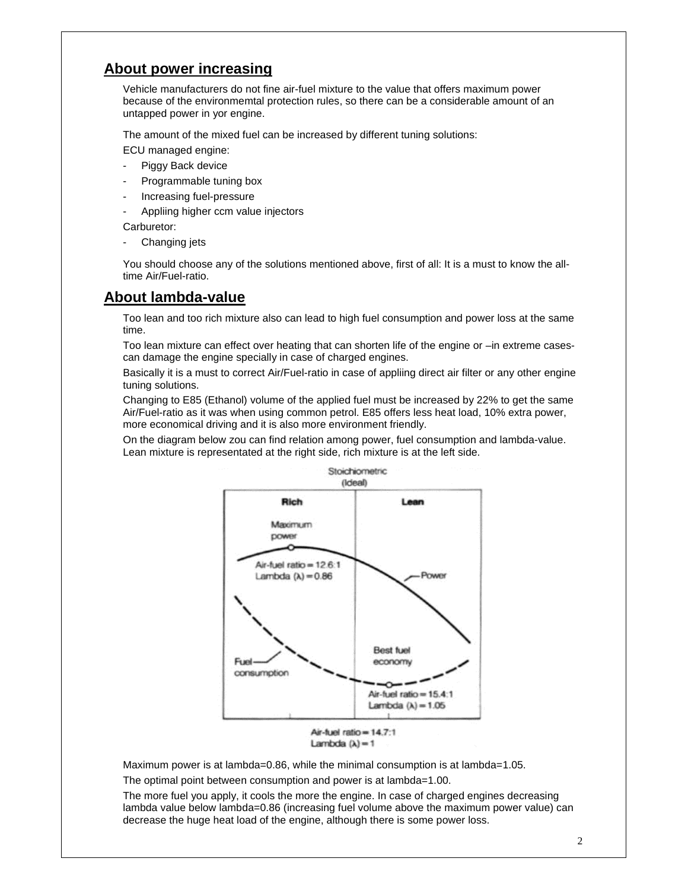# **About power increasing**

Vehicle manufacturers do not fine air-fuel mixture to the value that offers maximum power because of the environmemtal protection rules, so there can be a considerable amount of an untapped power in yor engine.

The amount of the mixed fuel can be increased by different tuning solutions:

ECU managed engine:

- Piggy Back device
- Programmable tuning box
- Increasing fuel-pressure
- Appliing higher ccm value injectors

Carburetor:

Changing jets

You should choose any of the solutions mentioned above, first of all: It is a must to know the alltime Air/Fuel-ratio.

## **About lambda-value**

Too lean and too rich mixture also can lead to high fuel consumption and power loss at the same time.

Too lean mixture can effect over heating that can shorten life of the engine or –in extreme cases can damage the engine specially in case of charged engines.

Basically it is a must to correct Air/Fuel-ratio in case of appliing direct air filter or any other engine tuning solutions.

Changing to E85 (Ethanol) volume of the applied fuel must be increased by 22% to get the same Air/Fuel-ratio as it was when using common petrol. E85 offers less heat load, 10% extra power, more economical driving and it is also more environment friendly.

On the diagram below zou can find relation among power, fuel consumption and lambda-value. Lean mixture is representated at the right side, rich mixture is at the left side.





Maximum power is at lambda=0.86, while the minimal consumption is at lambda=1.05.

The optimal point between consumption and power is at lambda=1.00.

The more fuel you apply, it cools the more the engine. In case of charged engines decreasing lambda value below lambda=0.86 (increasing fuel volume above the maximum power value) can decrease the huge heat load of the engine, although there is some power loss.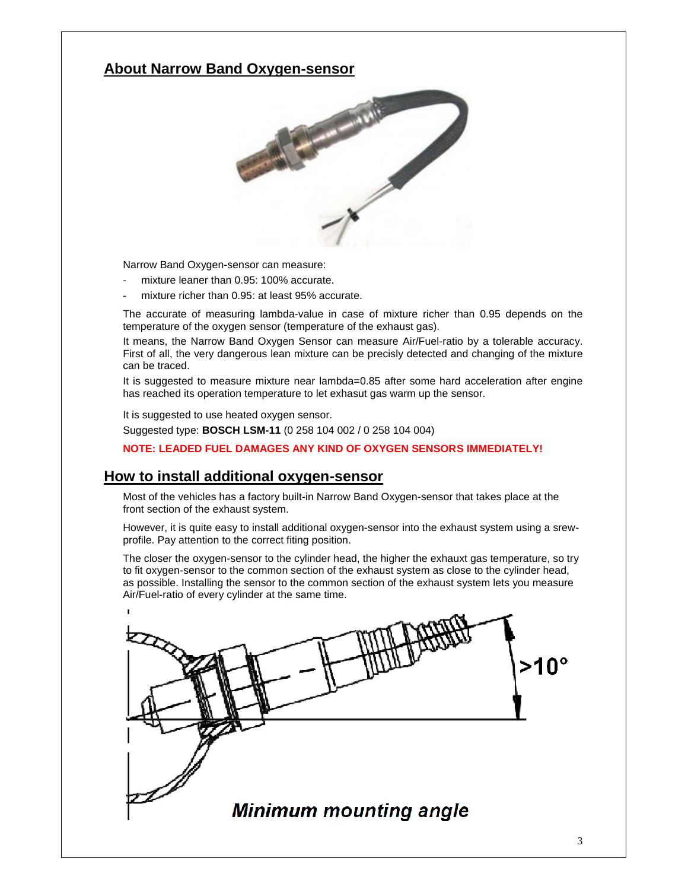## **About Narrow Band Oxygen-sensor**



Narrow Band Oxygen-sensor can measure:

- mixture leaner than 0.95: 100% accurate.
- mixture richer than 0.95: at least 95% accurate.

The accurate of measuring lambda-value in case of mixture richer than 0.95 depends on the temperature of the oxygen sensor (temperature of the exhaust gas).

It means, the Narrow Band Oxygen Sensor can measure Air/Fuel-ratio by a tolerable accuracy. First of all, the very dangerous lean mixture can be precisly detected and changing of the mixture can be traced.

It is suggested to measure mixture near lambda=0.85 after some hard acceleration after engine has reached its operation temperature to let exhasut gas warm up the sensor.

It is suggested to use heated oxygen sensor.

Suggested type: **BOSCH LSM-11** (0 258 104 002 / 0 258 104 004)

**NOTE: LEADED FUEL DAMAGES ANY KIND OF OXYGEN SENSORS IMMEDIATELY!**

## **How to install additional oxygen-sensor**

Most of the vehicles has a factory built-in Narrow Band Oxygen-sensor that takes place at the front section of the exhaust system.

However, it is quite easy to install additional oxygen-sensor into the exhaust system using a srew profile. Pay attention to the correct fiting position.

The closer the oxygen-sensor to the cylinder head, the higher the exhauxt gas temperature, so try to fit oxygen-sensor to the common section of the exhaust system as close to the cylinder head, as possible. Installing the sensor to the common section of the exhaust system lets you measure Air/Fuel-ratio of every cylinder at the same time.

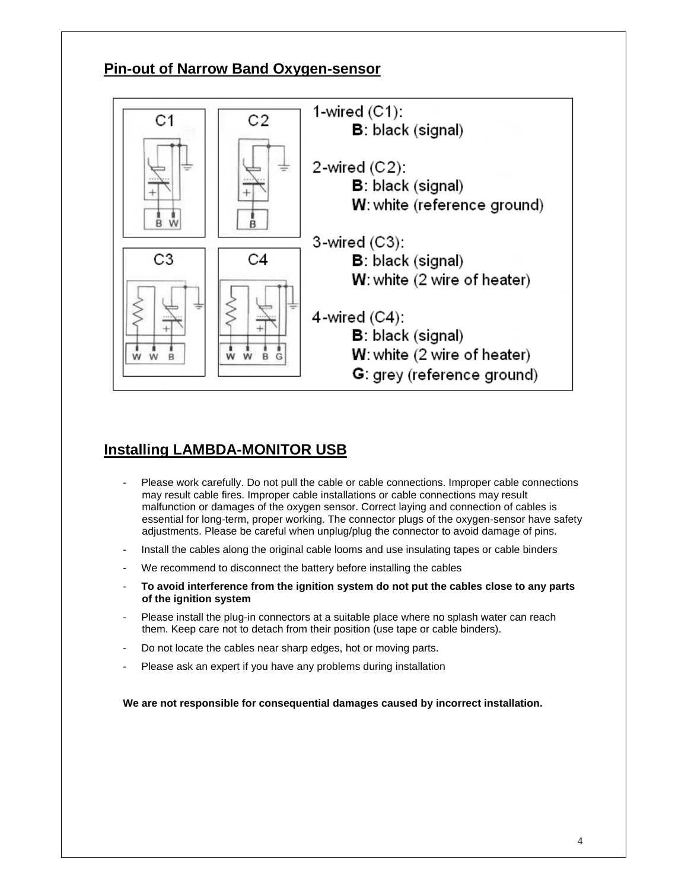# **Pin-out of Narrow Band Oxygen-sensor**



# **Installing LAMBDA-MONITOR USB**

- Please work carefully. Do not pull the cable or cable connections. Improper cable connections may result cable fires. Improper cable installations or cable connections may result malfunction or damages of the oxygen sensor. Correct laying and connection of cables is essential for long-term, proper working. The connector plugs of the oxygen-sensor have safety adjustments. Please be careful when unplug/plug the connector to avoid damage of pins.
- Install the cables along the original cable looms and use insulating tapes or cable binders
- We recommend to disconnect the battery before installing the cables
- **To avoid interference from the ignition system do not put the cables close to any parts of the ignition system**
- Please install the plug-in connectors at a suitable place where no splash water can reach them. Keep care not to detach from their position (use tape or cable binders).
- Do not locate the cables near sharp edges, hot or moving parts.
- Please ask an expert if you have any problems during installation

**We are not responsible for consequential damages caused by incorrect installation.**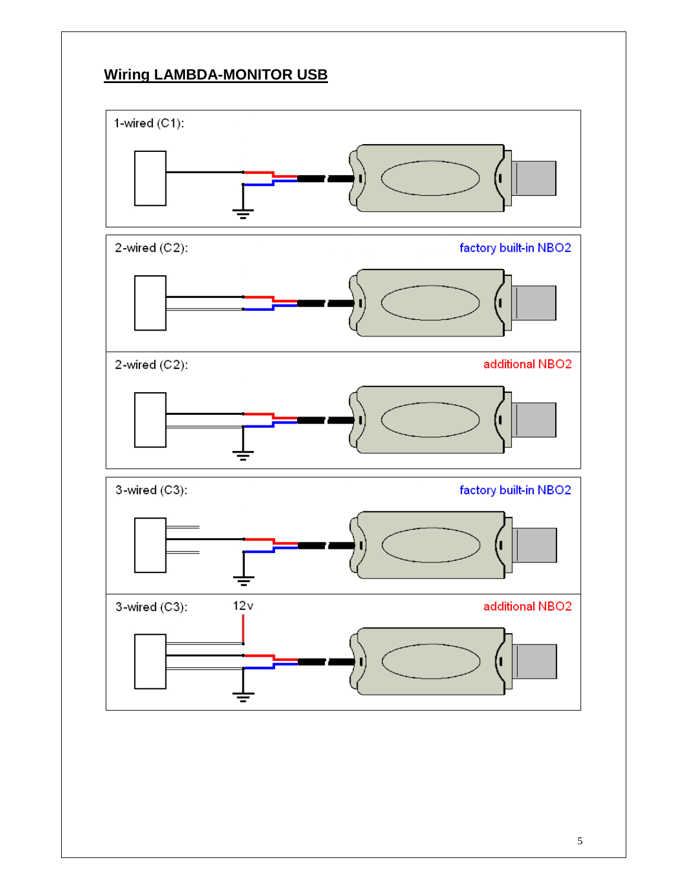# **Wiring LAMBDA-MONITOR USB**

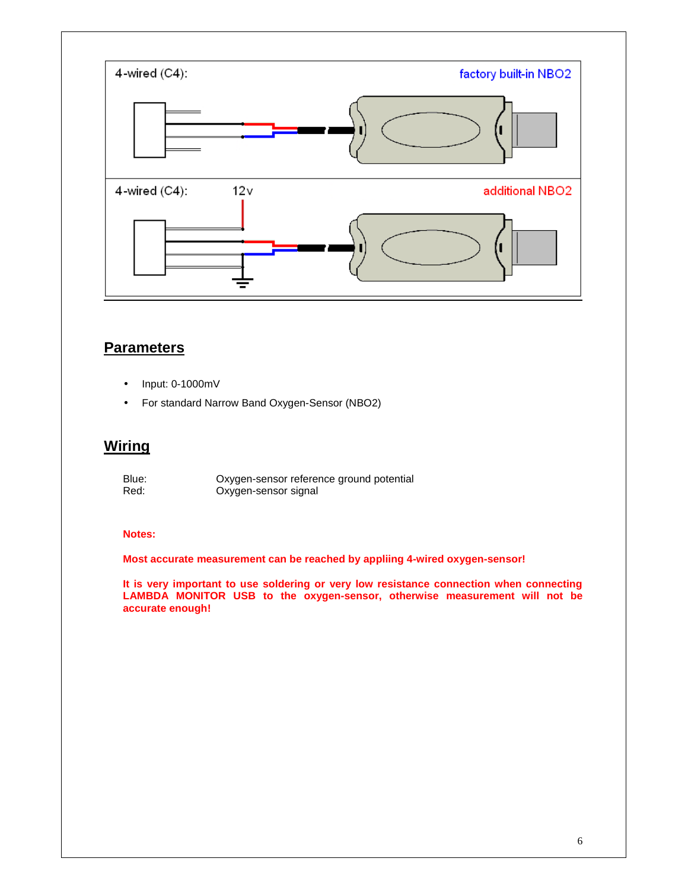

# **Parameters**

- Input: 0-1000mV
- For standard Narrow Band Oxygen-Sensor (NBO2)

# **Wiring**

Blue: Oxygen-sensor reference ground potential<br>
Red: Oxygen-sensor signal Oxygen-sensor signal

## **Notes:**

**Most accurate measurement can be reached by appliing 4-wired oxygen-sensor!**

**It is very important to use soldering or very low resistance connection when connecting LAMBDA MONITOR USB to the oxygen-sensor, otherwise measurement will not be accurate enough!**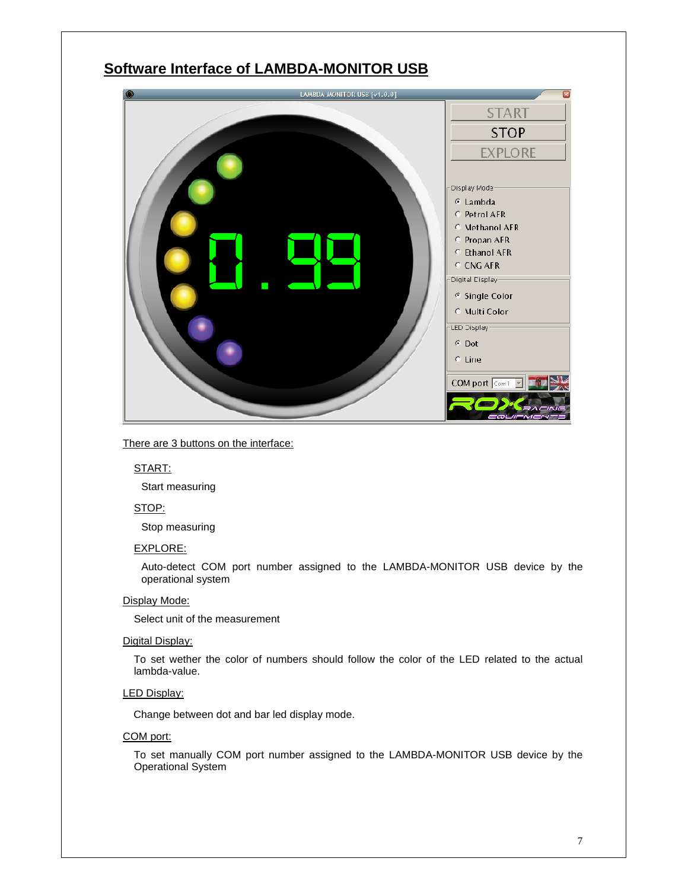| <b>Software Interface of LAMBDA-MONITOR USB</b> |                                                                                                                              |  |  |
|-------------------------------------------------|------------------------------------------------------------------------------------------------------------------------------|--|--|
| LAMBDA-MONITOR USB [v1.0.0]                     |                                                                                                                              |  |  |
|                                                 | <b>START</b><br><b>STOP</b><br><b>EXPLORE</b><br>Display Mode                                                                |  |  |
|                                                 | $G$ Lambda<br>O Petrol AFR<br><b>C</b> Methanol AFR<br>C Propan AFR<br>C Ethanol AFR<br><b>C CNG AFR</b><br>Digital Display- |  |  |
|                                                 | <sup>®</sup> Single Color<br><b>C</b> Multi Color<br>LED Display<br>⊙ Dot<br>C Line                                          |  |  |
|                                                 | COM port Com1                                                                                                                |  |  |

### There are 3 buttons on the interface:

START:

Start measuring

## STOP:

Stop measuring

#### EXPLORE:

Auto-detect COM port number assigned to the LAMBDA-MONITOR USB device by the operational system

#### Display Mode:

Select unit of the measurement

#### Digital Display:

To set wether the color of numbers should follow the color of the LED related to the actual lambda-value.

### LED Display:

Change between dot and bar led display mode.

#### COM port:

To set manually COM port number assigned to the LAMBDA-MONITOR USB device by the Operational System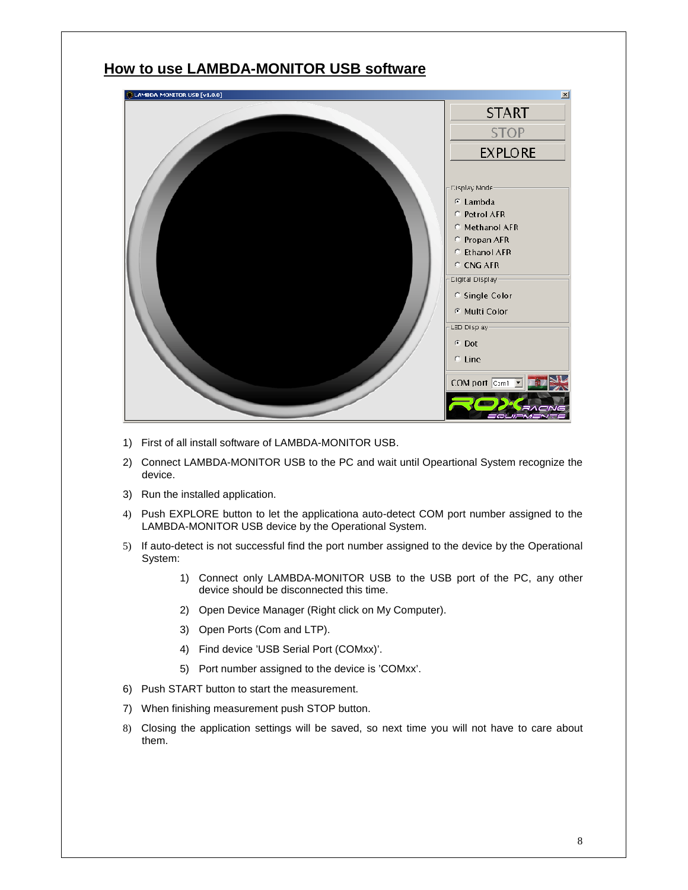

- 1) First of all install software of LAMBDA-MONITOR USB.
- 2) Connect LAMBDA-MONITOR USB to the PC and wait until Opeartional System recognize the device.
- 3) Run the installed application.
- 4) Push EXPLORE button to let the applicationa auto-detect COM port number assigned to the LAMBDA-MONITOR USB device by the Operational System.
- 5) If auto-detect is not successful find the port number assigned to the device by the Operational System:
	- 1) Connect only LAMBDA-MONITOR USB to the USB port of the PC, any other device should be disconnected this time.
	- 2) Open Device Manager (Right click on My Computer).
	- 3) Open Ports (Com and LTP).
	- 4) Find device 'USB Serial Port (COMxx)'.
	- 5) Port number assigned to the device is 'COMxx'.
- 6) Push START button to start the measurement.
- 7) When finishing measurement push STOP button.
- 8) Closing the application settings will be saved, so next time you will not have to care about them.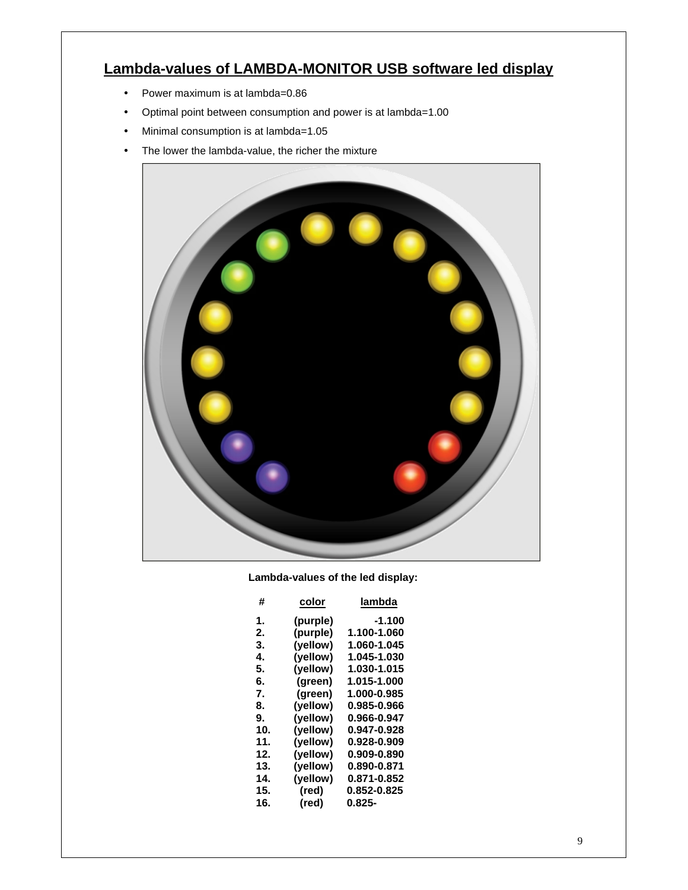# **Lambda-values of LAMBDA-MONITOR USB software led display**

- Power maximum is at lambda=0.86
- Optimal point between consumption and power is at lambda=1.00
- Minimal consumption is at lambda=1.05
- The lower the lambda-value, the richer the mixture



**Lambda-values of the led display:**

| #   | <u>color</u> | lambda      |  |
|-----|--------------|-------------|--|
| 1.  | (purple)     | -1.100      |  |
| 2.  | (purple)     | 1.100-1.060 |  |
| 3.  | (yellow)     | 1.060-1.045 |  |
| 4.  | (yellow)     | 1.045-1.030 |  |
| 5.  | (yellow)     | 1.030-1.015 |  |
| 6.  | (green)      | 1.015-1.000 |  |
| 7.  | (green)      | 1.000-0.985 |  |
| 8.  | (yellow)     | 0.985-0.966 |  |
| 9.  | (yellow)     | 0.966-0.947 |  |
| 10. | (yellow)     | 0.947-0.928 |  |
| 11. | (yellow)     | 0.928-0.909 |  |
| 12. | (yellow)     | 0.909-0.890 |  |
| 13. | (yellow)     | 0.890-0.871 |  |
| 14. | (yellow)     | 0.871-0.852 |  |
| 15. | (red)        | 0.852-0.825 |  |
| 16. | (red)        | 0.825-      |  |